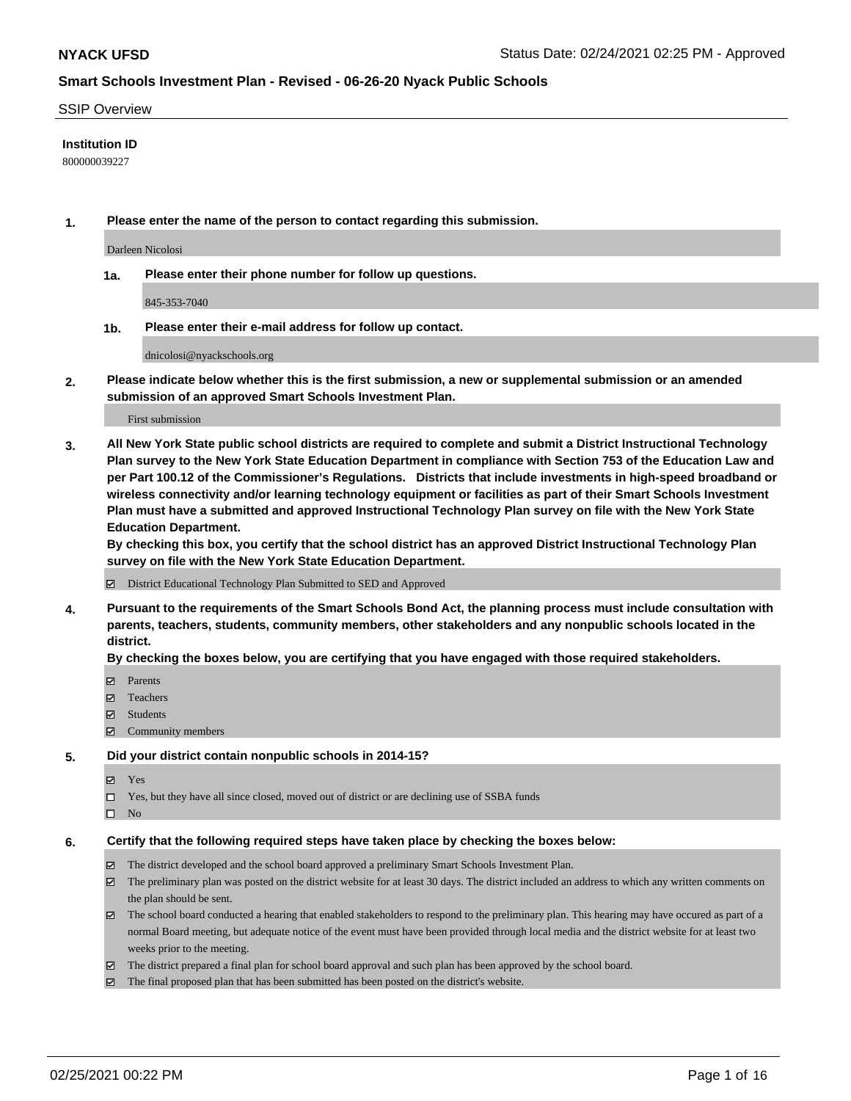### SSIP Overview

## **Institution ID**

800000039227

**1. Please enter the name of the person to contact regarding this submission.**

Darleen Nicolosi

**1a. Please enter their phone number for follow up questions.**

845-353-7040

**1b. Please enter their e-mail address for follow up contact.**

dnicolosi@nyackschools.org

**2. Please indicate below whether this is the first submission, a new or supplemental submission or an amended submission of an approved Smart Schools Investment Plan.**

#### First submission

**3. All New York State public school districts are required to complete and submit a District Instructional Technology Plan survey to the New York State Education Department in compliance with Section 753 of the Education Law and per Part 100.12 of the Commissioner's Regulations. Districts that include investments in high-speed broadband or wireless connectivity and/or learning technology equipment or facilities as part of their Smart Schools Investment Plan must have a submitted and approved Instructional Technology Plan survey on file with the New York State Education Department.** 

**By checking this box, you certify that the school district has an approved District Instructional Technology Plan survey on file with the New York State Education Department.**

District Educational Technology Plan Submitted to SED and Approved

**4. Pursuant to the requirements of the Smart Schools Bond Act, the planning process must include consultation with parents, teachers, students, community members, other stakeholders and any nonpublic schools located in the district.** 

### **By checking the boxes below, you are certifying that you have engaged with those required stakeholders.**

- **Ø** Parents
- Teachers
- Students
- $\Xi$  Community members

#### **5. Did your district contain nonpublic schools in 2014-15?**

- Yes
- □ Yes, but they have all since closed, moved out of district or are declining use of SSBA funds
- $\hfill \square$  No

### **6. Certify that the following required steps have taken place by checking the boxes below:**

- The district developed and the school board approved a preliminary Smart Schools Investment Plan.
- The preliminary plan was posted on the district website for at least 30 days. The district included an address to which any written comments on the plan should be sent.
- The school board conducted a hearing that enabled stakeholders to respond to the preliminary plan. This hearing may have occured as part of a normal Board meeting, but adequate notice of the event must have been provided through local media and the district website for at least two weeks prior to the meeting.
- The district prepared a final plan for school board approval and such plan has been approved by the school board.
- $\boxtimes$  The final proposed plan that has been submitted has been posted on the district's website.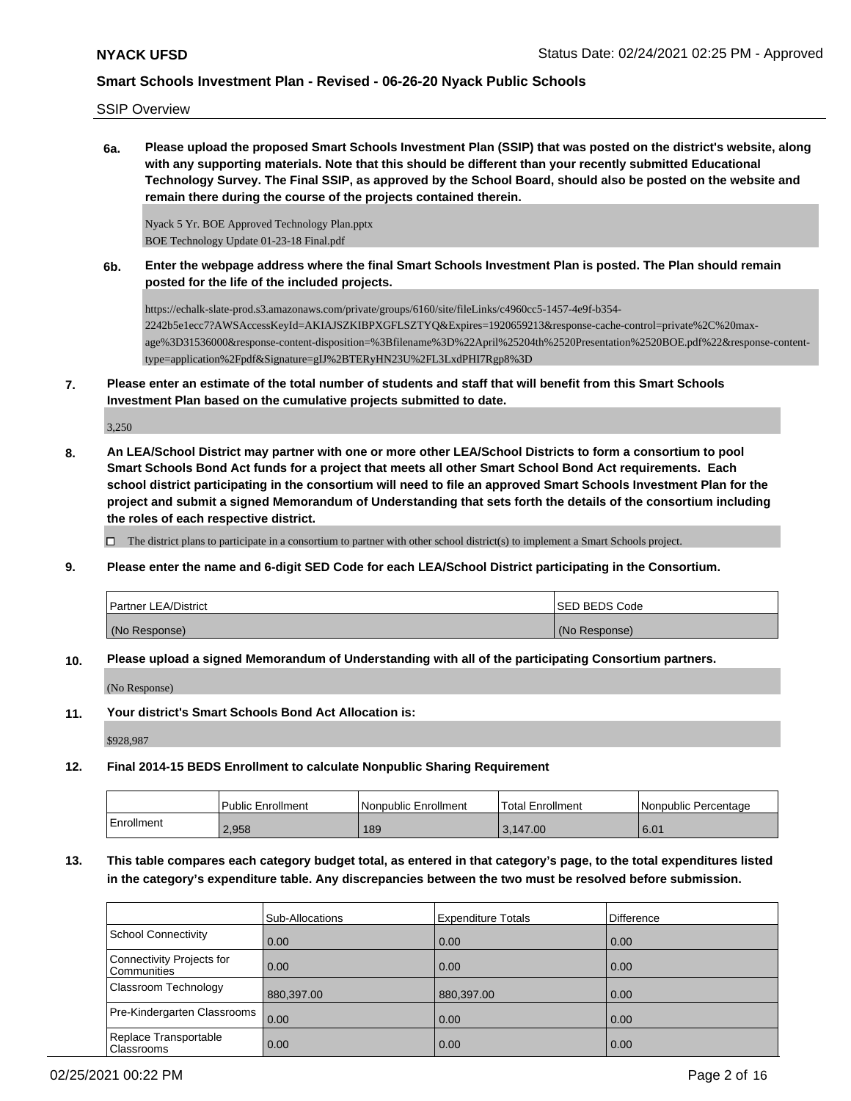SSIP Overview

**6a. Please upload the proposed Smart Schools Investment Plan (SSIP) that was posted on the district's website, along with any supporting materials. Note that this should be different than your recently submitted Educational Technology Survey. The Final SSIP, as approved by the School Board, should also be posted on the website and remain there during the course of the projects contained therein.**

Nyack 5 Yr. BOE Approved Technology Plan.pptx BOE Technology Update 01-23-18 Final.pdf

**6b. Enter the webpage address where the final Smart Schools Investment Plan is posted. The Plan should remain posted for the life of the included projects.**

https://echalk-slate-prod.s3.amazonaws.com/private/groups/6160/site/fileLinks/c4960cc5-1457-4e9f-b354- 2242b5e1ecc7?AWSAccessKeyId=AKIAJSZKIBPXGFLSZTYQ&Expires=1920659213&response-cache-control=private%2C%20maxage%3D31536000&response-content-disposition=%3Bfilename%3D%22April%25204th%2520Presentation%2520BOE.pdf%22&response-contenttype=application%2Fpdf&Signature=gIJ%2BTERyHN23U%2FL3LxdPHI7Rgp8%3D

**7. Please enter an estimate of the total number of students and staff that will benefit from this Smart Schools Investment Plan based on the cumulative projects submitted to date.**

3,250

**8. An LEA/School District may partner with one or more other LEA/School Districts to form a consortium to pool Smart Schools Bond Act funds for a project that meets all other Smart School Bond Act requirements. Each school district participating in the consortium will need to file an approved Smart Schools Investment Plan for the project and submit a signed Memorandum of Understanding that sets forth the details of the consortium including the roles of each respective district.**

 $\Box$  The district plans to participate in a consortium to partner with other school district(s) to implement a Smart Schools project.

**9. Please enter the name and 6-digit SED Code for each LEA/School District participating in the Consortium.**

| Partner LEA/District | <b>ISED BEDS Code</b> |
|----------------------|-----------------------|
| (No Response)        | (No Response)         |

**10. Please upload a signed Memorandum of Understanding with all of the participating Consortium partners.**

(No Response)

**11. Your district's Smart Schools Bond Act Allocation is:**

\$928,987

**12. Final 2014-15 BEDS Enrollment to calculate Nonpublic Sharing Requirement**

|            | <b>Public Enrollment</b> | l Nonpublic Enrollment | Total Enrollment | l Nonpublic Percentage |
|------------|--------------------------|------------------------|------------------|------------------------|
| Enrollment | 2,958                    | 189                    | 3.147.00         | 6.01                   |

# **13. This table compares each category budget total, as entered in that category's page, to the total expenditures listed in the category's expenditure table. Any discrepancies between the two must be resolved before submission.**

|                                                 | Sub-Allocations | <b>Expenditure Totals</b> | <b>Difference</b> |
|-------------------------------------------------|-----------------|---------------------------|-------------------|
| School Connectivity                             | 0.00            | 0.00                      | 0.00              |
| Connectivity Projects for<br><b>Communities</b> | 0.00            | 0.00                      | 0.00              |
| Classroom Technology                            | 880,397.00      | 880,397.00                | 0.00              |
| Pre-Kindergarten Classrooms                     | 0.00            | 0.00                      | 0.00              |
| Replace Transportable<br><b>Classrooms</b>      | 0.00            | 0.00                      | 0.00              |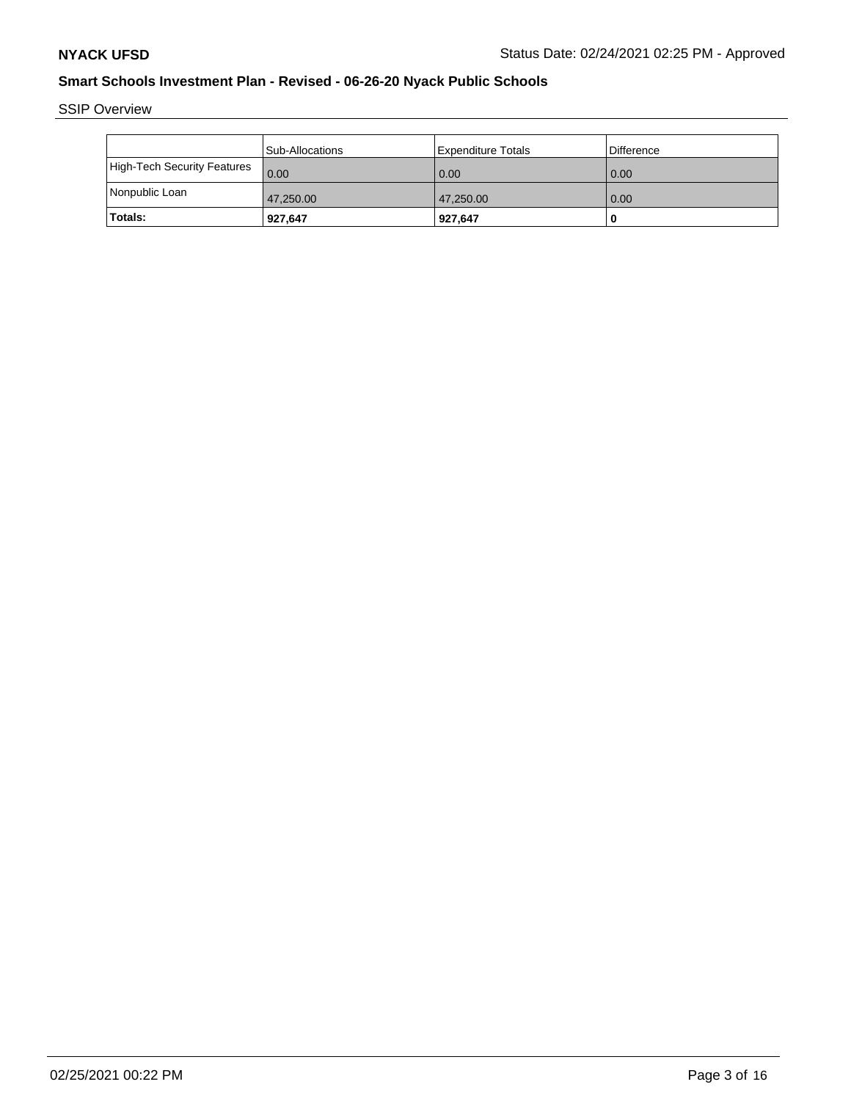SSIP Overview

|                             | <b>Sub-Allocations</b> | l Expenditure Totals | Difference |
|-----------------------------|------------------------|----------------------|------------|
| High-Tech Security Features | 0.00                   | 0.00                 | 0.00       |
| Nonpublic Loan              | 47,250.00              | 47,250.00            | 0.00       |
| <b>Totals:</b>              | 927,647                | 927,647              |            |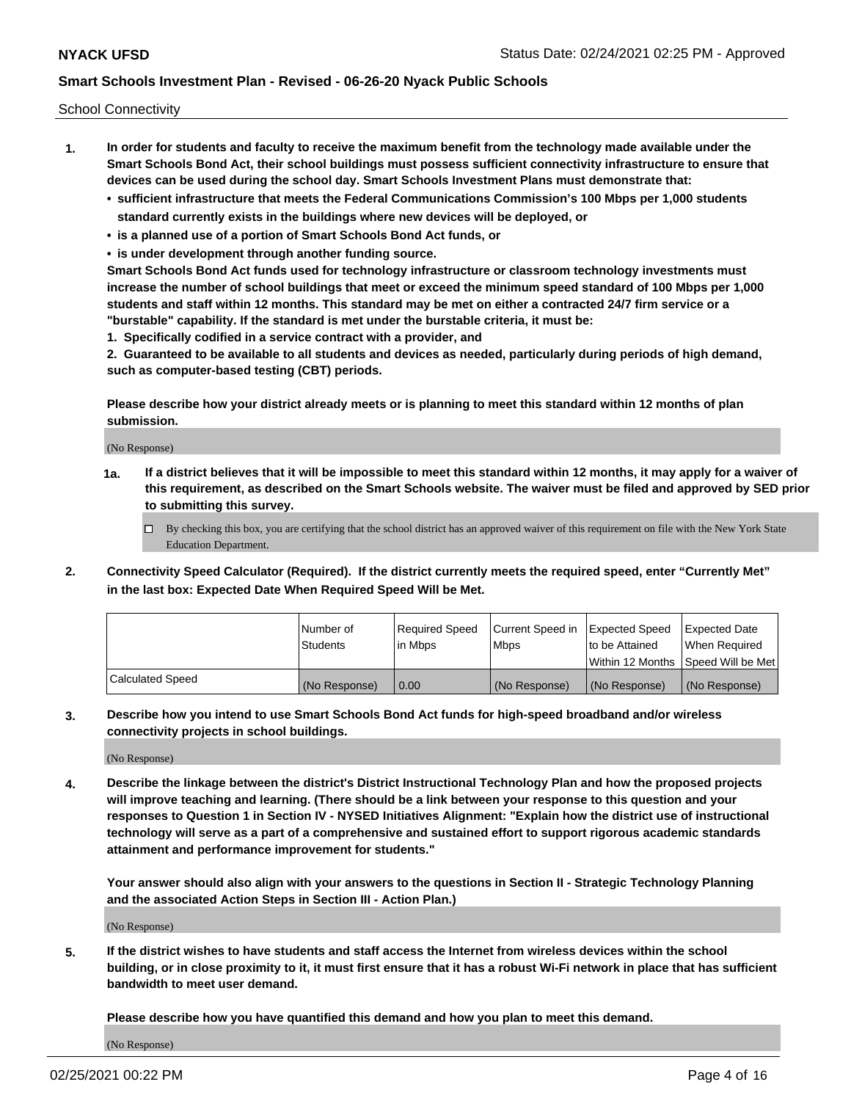School Connectivity

- **1. In order for students and faculty to receive the maximum benefit from the technology made available under the Smart Schools Bond Act, their school buildings must possess sufficient connectivity infrastructure to ensure that devices can be used during the school day. Smart Schools Investment Plans must demonstrate that:**
	- **• sufficient infrastructure that meets the Federal Communications Commission's 100 Mbps per 1,000 students standard currently exists in the buildings where new devices will be deployed, or**
	- **• is a planned use of a portion of Smart Schools Bond Act funds, or**
	- **• is under development through another funding source.**

**Smart Schools Bond Act funds used for technology infrastructure or classroom technology investments must increase the number of school buildings that meet or exceed the minimum speed standard of 100 Mbps per 1,000 students and staff within 12 months. This standard may be met on either a contracted 24/7 firm service or a "burstable" capability. If the standard is met under the burstable criteria, it must be:**

**1. Specifically codified in a service contract with a provider, and**

**2. Guaranteed to be available to all students and devices as needed, particularly during periods of high demand, such as computer-based testing (CBT) periods.**

**Please describe how your district already meets or is planning to meet this standard within 12 months of plan submission.**

(No Response)

**1a. If a district believes that it will be impossible to meet this standard within 12 months, it may apply for a waiver of this requirement, as described on the Smart Schools website. The waiver must be filed and approved by SED prior to submitting this survey.**

 $\Box$  By checking this box, you are certifying that the school district has an approved waiver of this requirement on file with the New York State Education Department.

**2. Connectivity Speed Calculator (Required). If the district currently meets the required speed, enter "Currently Met" in the last box: Expected Date When Required Speed Will be Met.**

|                  | l Number of     | Required Speed | Current Speed in | Expected Speed | Expected Date                           |
|------------------|-----------------|----------------|------------------|----------------|-----------------------------------------|
|                  | <b>Students</b> | In Mbps        | l Mbps           | to be Attained | When Required                           |
|                  |                 |                |                  |                | l Within 12 Months ISpeed Will be Met l |
| Calculated Speed | (No Response)   | 0.00           | (No Response)    | (No Response)  | (No Response)                           |

**3. Describe how you intend to use Smart Schools Bond Act funds for high-speed broadband and/or wireless connectivity projects in school buildings.**

(No Response)

**4. Describe the linkage between the district's District Instructional Technology Plan and how the proposed projects will improve teaching and learning. (There should be a link between your response to this question and your responses to Question 1 in Section IV - NYSED Initiatives Alignment: "Explain how the district use of instructional technology will serve as a part of a comprehensive and sustained effort to support rigorous academic standards attainment and performance improvement for students."** 

**Your answer should also align with your answers to the questions in Section II - Strategic Technology Planning and the associated Action Steps in Section III - Action Plan.)**

(No Response)

**5. If the district wishes to have students and staff access the Internet from wireless devices within the school building, or in close proximity to it, it must first ensure that it has a robust Wi-Fi network in place that has sufficient bandwidth to meet user demand.**

**Please describe how you have quantified this demand and how you plan to meet this demand.**

(No Response)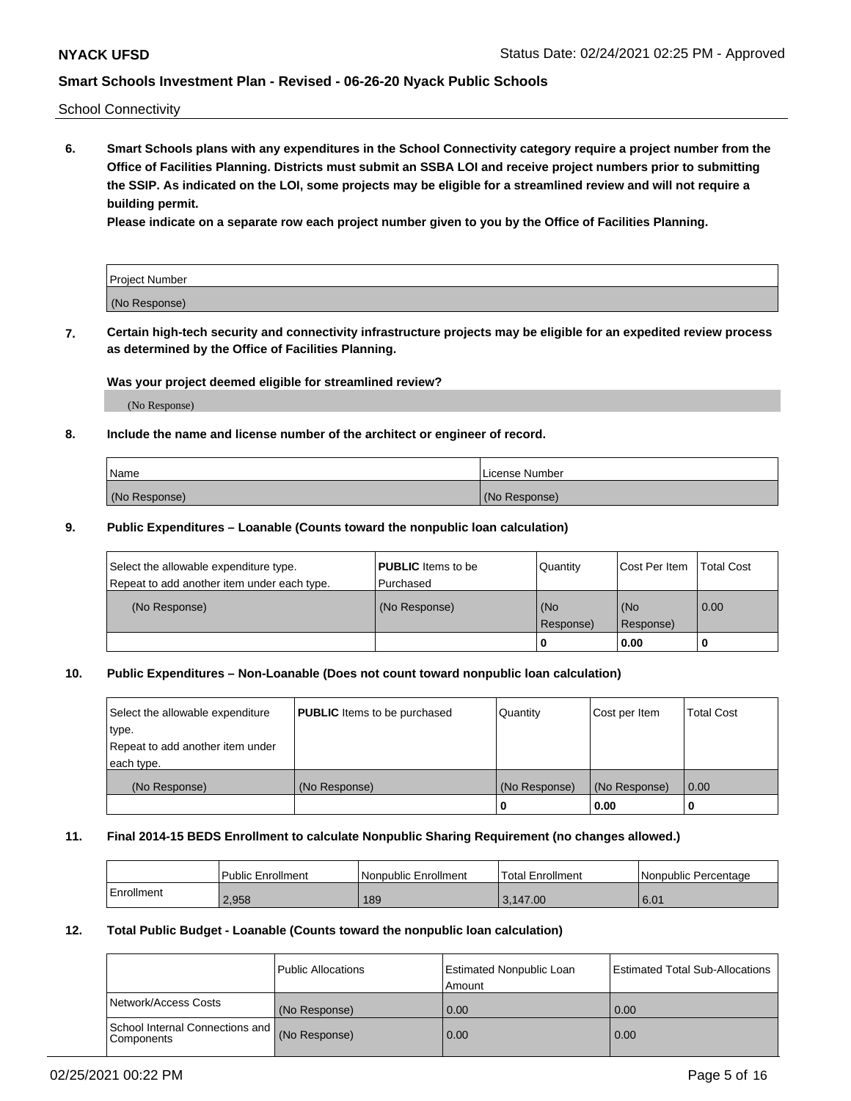School Connectivity

**6. Smart Schools plans with any expenditures in the School Connectivity category require a project number from the Office of Facilities Planning. Districts must submit an SSBA LOI and receive project numbers prior to submitting the SSIP. As indicated on the LOI, some projects may be eligible for a streamlined review and will not require a building permit.**

**Please indicate on a separate row each project number given to you by the Office of Facilities Planning.**

| Project Number |  |
|----------------|--|
| (No Response)  |  |

**7. Certain high-tech security and connectivity infrastructure projects may be eligible for an expedited review process as determined by the Office of Facilities Planning.**

### **Was your project deemed eligible for streamlined review?**

(No Response)

## **8. Include the name and license number of the architect or engineer of record.**

| Name          | License Number |
|---------------|----------------|
| (No Response) | (No Response)  |

### **9. Public Expenditures – Loanable (Counts toward the nonpublic loan calculation)**

| Select the allowable expenditure type.<br>Repeat to add another item under each type. | <b>PUBLIC</b> Items to be<br>l Purchased | Quantity         | l Cost Per Item  | <b>Total Cost</b> |
|---------------------------------------------------------------------------------------|------------------------------------------|------------------|------------------|-------------------|
| (No Response)                                                                         | (No Response)                            | (No<br>Response) | (No<br>Response) | 0.00              |
|                                                                                       |                                          | 0                | 0.00             |                   |

# **10. Public Expenditures – Non-Loanable (Does not count toward nonpublic loan calculation)**

| Select the allowable expenditure<br>type.<br>Repeat to add another item under<br>each type. | <b>PUBLIC</b> Items to be purchased | Quantity      | Cost per Item | <b>Total Cost</b> |
|---------------------------------------------------------------------------------------------|-------------------------------------|---------------|---------------|-------------------|
| (No Response)                                                                               | (No Response)                       | (No Response) | (No Response) | 0.00              |
|                                                                                             |                                     |               | 0.00          |                   |

#### **11. Final 2014-15 BEDS Enrollment to calculate Nonpublic Sharing Requirement (no changes allowed.)**

|            | Public Enrollment | l Nonpublic Enrollment | <b>Total Enrollment</b> | Nonpublic Percentage |
|------------|-------------------|------------------------|-------------------------|----------------------|
| Enrollment | 2.958             | 189                    | 3.147.00                | 6.01                 |

## **12. Total Public Budget - Loanable (Counts toward the nonpublic loan calculation)**

|                                                      | Public Allocations | <b>Estimated Nonpublic Loan</b><br>Amount | Estimated Total Sub-Allocations |
|------------------------------------------------------|--------------------|-------------------------------------------|---------------------------------|
| Network/Access Costs                                 | (No Response)      | 0.00                                      | 0.00                            |
| School Internal Connections and<br><b>Components</b> | (No Response)      | 0.00                                      | 0.00                            |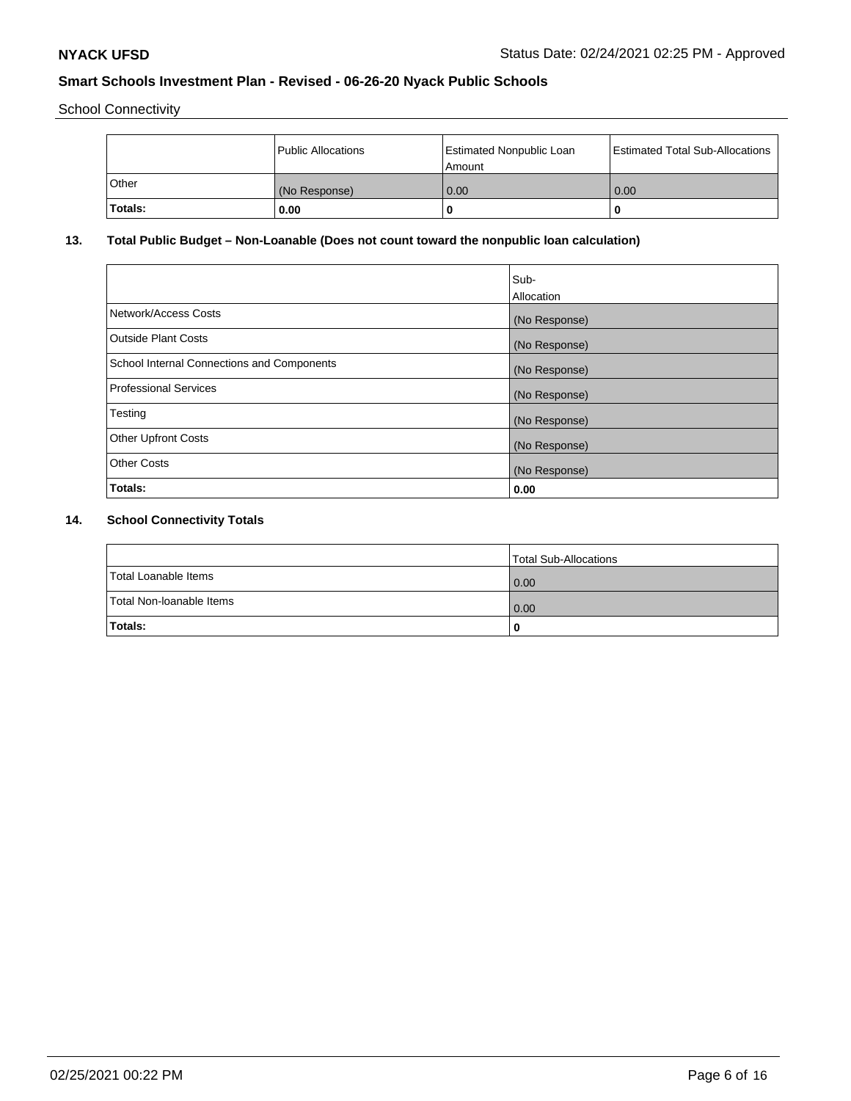School Connectivity

|              | Public Allocations | <b>Estimated Nonpublic Loan</b><br>Amount | <b>Estimated Total Sub-Allocations</b> |
|--------------|--------------------|-------------------------------------------|----------------------------------------|
| <b>Other</b> | (No Response)      | 0.00                                      | 0.00                                   |
| Totals:      | 0.00               |                                           | 0                                      |

# **13. Total Public Budget – Non-Loanable (Does not count toward the nonpublic loan calculation)**

|                                                   | Sub-<br>Allocation |
|---------------------------------------------------|--------------------|
|                                                   |                    |
| Network/Access Costs                              | (No Response)      |
| <b>Outside Plant Costs</b>                        | (No Response)      |
| <b>School Internal Connections and Components</b> | (No Response)      |
| Professional Services                             | (No Response)      |
| Testing                                           | (No Response)      |
| <b>Other Upfront Costs</b>                        | (No Response)      |
| <b>Other Costs</b>                                | (No Response)      |
| <b>Totals:</b>                                    | 0.00               |

# **14. School Connectivity Totals**

|                          | Total Sub-Allocations |
|--------------------------|-----------------------|
| Total Loanable Items     | 0.00                  |
| Total Non-Ioanable Items | 0.00                  |
| Totals:                  | 0                     |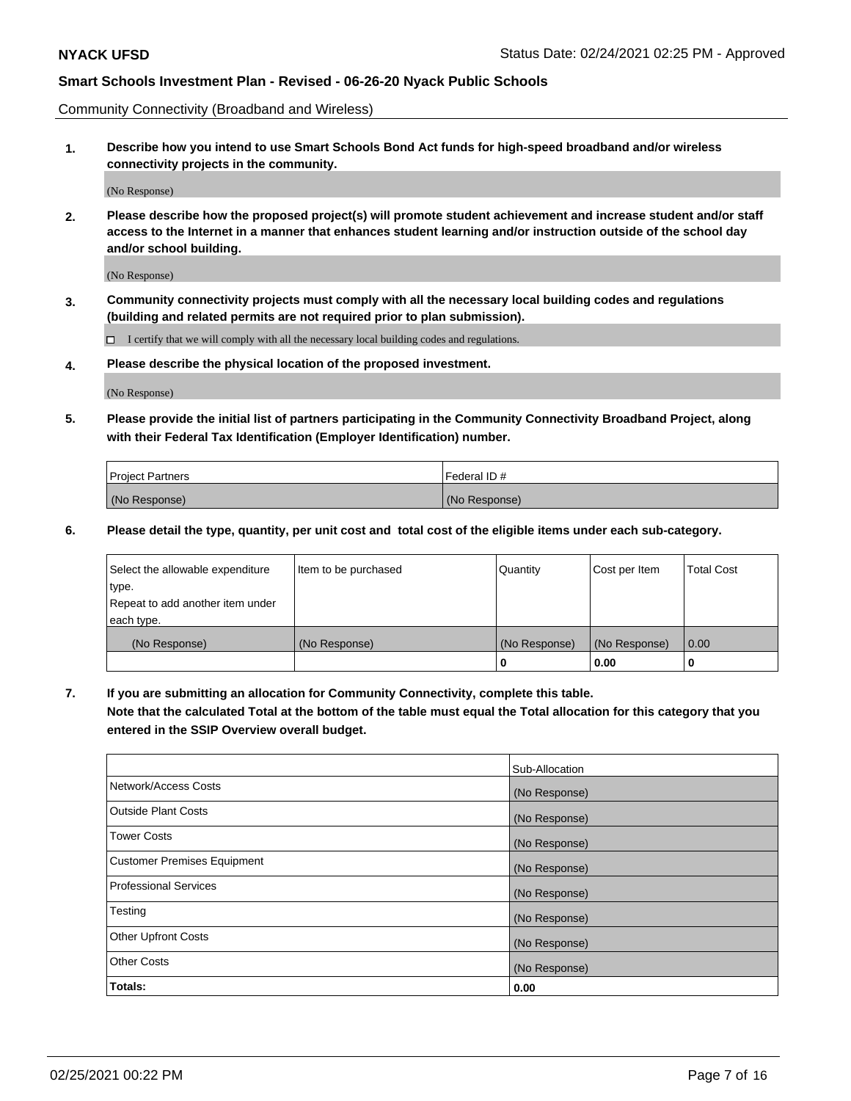Community Connectivity (Broadband and Wireless)

**1. Describe how you intend to use Smart Schools Bond Act funds for high-speed broadband and/or wireless connectivity projects in the community.**

(No Response)

**2. Please describe how the proposed project(s) will promote student achievement and increase student and/or staff access to the Internet in a manner that enhances student learning and/or instruction outside of the school day and/or school building.**

(No Response)

**3. Community connectivity projects must comply with all the necessary local building codes and regulations (building and related permits are not required prior to plan submission).**

 $\Box$  I certify that we will comply with all the necessary local building codes and regulations.

**4. Please describe the physical location of the proposed investment.**

(No Response)

**5. Please provide the initial list of partners participating in the Community Connectivity Broadband Project, along with their Federal Tax Identification (Employer Identification) number.**

| <b>Project Partners</b> | l Federal ID # |
|-------------------------|----------------|
| (No Response)           | (No Response)  |

**6. Please detail the type, quantity, per unit cost and total cost of the eligible items under each sub-category.**

| Select the allowable expenditure | Item to be purchased | Quantity      | Cost per Item | <b>Total Cost</b> |
|----------------------------------|----------------------|---------------|---------------|-------------------|
| type.                            |                      |               |               |                   |
| Repeat to add another item under |                      |               |               |                   |
| each type.                       |                      |               |               |                   |
| (No Response)                    | (No Response)        | (No Response) | (No Response) | 0.00              |
|                                  |                      | o             | 0.00          |                   |

**7. If you are submitting an allocation for Community Connectivity, complete this table.**

**Note that the calculated Total at the bottom of the table must equal the Total allocation for this category that you entered in the SSIP Overview overall budget.**

|                                    | Sub-Allocation |
|------------------------------------|----------------|
| Network/Access Costs               | (No Response)  |
| Outside Plant Costs                | (No Response)  |
| <b>Tower Costs</b>                 | (No Response)  |
| <b>Customer Premises Equipment</b> | (No Response)  |
| <b>Professional Services</b>       | (No Response)  |
| Testing                            | (No Response)  |
| <b>Other Upfront Costs</b>         | (No Response)  |
| <b>Other Costs</b>                 | (No Response)  |
| Totals:                            | 0.00           |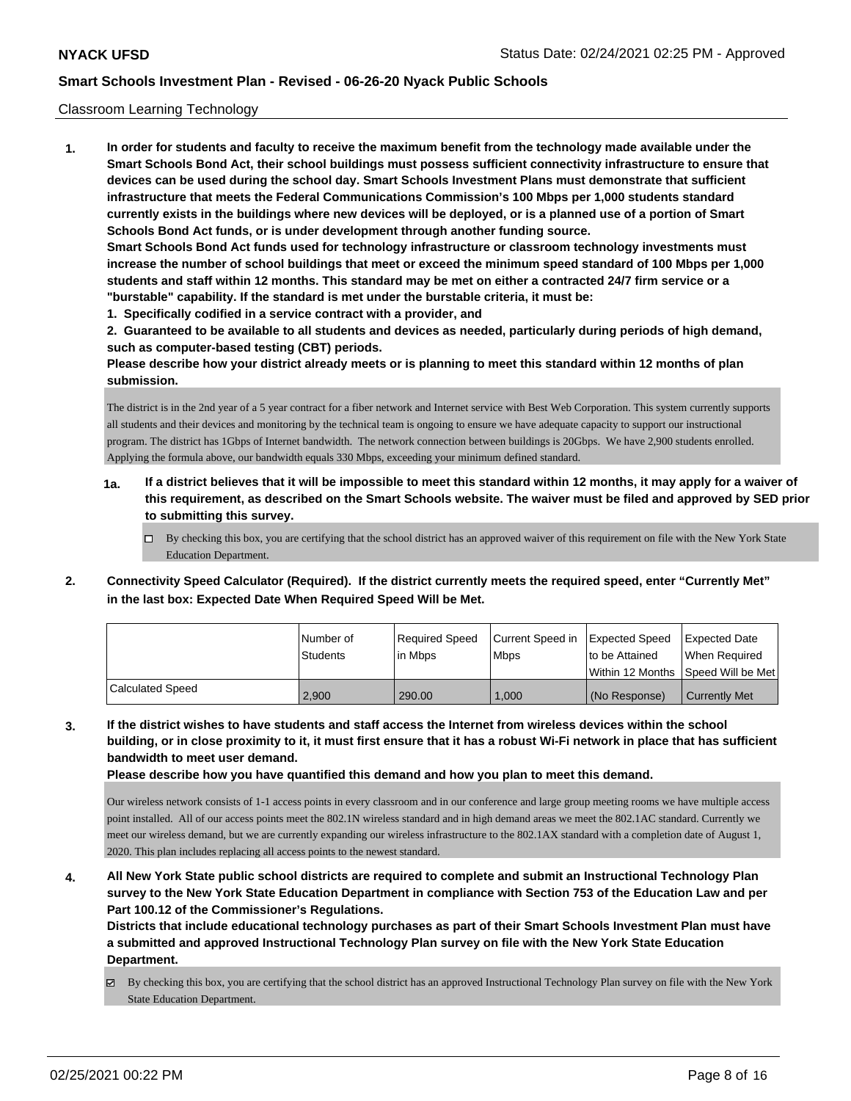## Classroom Learning Technology

**1. In order for students and faculty to receive the maximum benefit from the technology made available under the Smart Schools Bond Act, their school buildings must possess sufficient connectivity infrastructure to ensure that devices can be used during the school day. Smart Schools Investment Plans must demonstrate that sufficient infrastructure that meets the Federal Communications Commission's 100 Mbps per 1,000 students standard currently exists in the buildings where new devices will be deployed, or is a planned use of a portion of Smart Schools Bond Act funds, or is under development through another funding source. Smart Schools Bond Act funds used for technology infrastructure or classroom technology investments must increase the number of school buildings that meet or exceed the minimum speed standard of 100 Mbps per 1,000 students and staff within 12 months. This standard may be met on either a contracted 24/7 firm service or a "burstable" capability. If the standard is met under the burstable criteria, it must be:**

**1. Specifically codified in a service contract with a provider, and**

**2. Guaranteed to be available to all students and devices as needed, particularly during periods of high demand, such as computer-based testing (CBT) periods.**

**Please describe how your district already meets or is planning to meet this standard within 12 months of plan submission.**

The district is in the 2nd year of a 5 year contract for a fiber network and Internet service with Best Web Corporation. This system currently supports all students and their devices and monitoring by the technical team is ongoing to ensure we have adequate capacity to support our instructional program. The district has 1Gbps of Internet bandwidth. The network connection between buildings is 20Gbps. We have 2,900 students enrolled. Applying the formula above, our bandwidth equals 330 Mbps, exceeding your minimum defined standard.

- **1a. If a district believes that it will be impossible to meet this standard within 12 months, it may apply for a waiver of this requirement, as described on the Smart Schools website. The waiver must be filed and approved by SED prior to submitting this survey.**
	- By checking this box, you are certifying that the school district has an approved waiver of this requirement on file with the New York State Education Department.
- **2. Connectivity Speed Calculator (Required). If the district currently meets the required speed, enter "Currently Met" in the last box: Expected Date When Required Speed Will be Met.**

|                  | l Number of     | Required Speed | Current Speed in | <b>Expected Speed</b>                | Expected Date        |
|------------------|-----------------|----------------|------------------|--------------------------------------|----------------------|
|                  | <b>Students</b> | in Mbps        | <b>Mbps</b>      | to be Attained                       | When Required        |
|                  |                 |                |                  | Within 12 Months 1Speed Will be Met1 |                      |
| Calculated Speed | 2.900           | 290.00         | 1,000            | (No Response)                        | <b>Currently Met</b> |

**3. If the district wishes to have students and staff access the Internet from wireless devices within the school building, or in close proximity to it, it must first ensure that it has a robust Wi-Fi network in place that has sufficient bandwidth to meet user demand.**

**Please describe how you have quantified this demand and how you plan to meet this demand.**

Our wireless network consists of 1-1 access points in every classroom and in our conference and large group meeting rooms we have multiple access point installed. All of our access points meet the 802.1N wireless standard and in high demand areas we meet the 802.1AC standard. Currently we meet our wireless demand, but we are currently expanding our wireless infrastructure to the 802.1AX standard with a completion date of August 1, 2020. This plan includes replacing all access points to the newest standard.

**4. All New York State public school districts are required to complete and submit an Instructional Technology Plan survey to the New York State Education Department in compliance with Section 753 of the Education Law and per Part 100.12 of the Commissioner's Regulations.**

**Districts that include educational technology purchases as part of their Smart Schools Investment Plan must have a submitted and approved Instructional Technology Plan survey on file with the New York State Education Department.**

By checking this box, you are certifying that the school district has an approved Instructional Technology Plan survey on file with the New York State Education Department.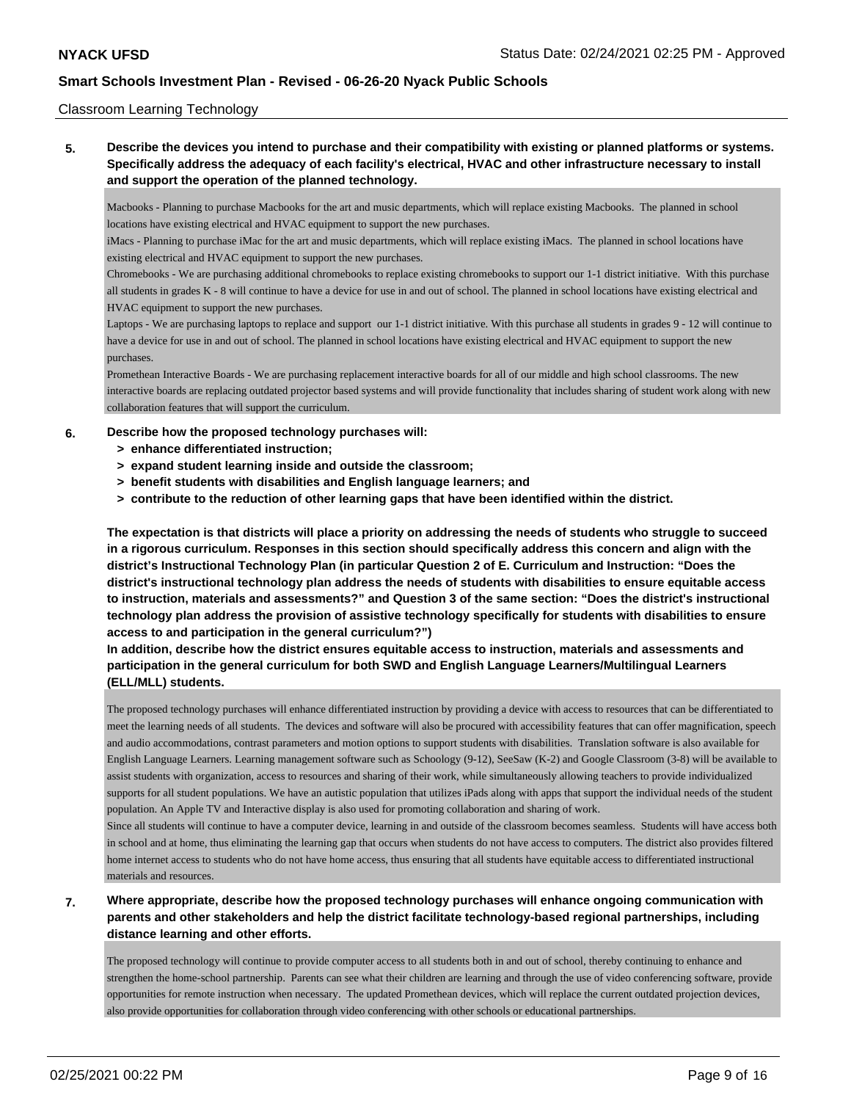## Classroom Learning Technology

**5. Describe the devices you intend to purchase and their compatibility with existing or planned platforms or systems. Specifically address the adequacy of each facility's electrical, HVAC and other infrastructure necessary to install and support the operation of the planned technology.**

Macbooks - Planning to purchase Macbooks for the art and music departments, which will replace existing Macbooks. The planned in school locations have existing electrical and HVAC equipment to support the new purchases.

iMacs - Planning to purchase iMac for the art and music departments, which will replace existing iMacs. The planned in school locations have existing electrical and HVAC equipment to support the new purchases.

Chromebooks - We are purchasing additional chromebooks to replace existing chromebooks to support our 1-1 district initiative. With this purchase all students in grades K - 8 will continue to have a device for use in and out of school. The planned in school locations have existing electrical and HVAC equipment to support the new purchases.

Laptops - We are purchasing laptops to replace and support our 1-1 district initiative. With this purchase all students in grades 9 - 12 will continue to have a device for use in and out of school. The planned in school locations have existing electrical and HVAC equipment to support the new purchases.

Promethean Interactive Boards - We are purchasing replacement interactive boards for all of our middle and high school classrooms. The new interactive boards are replacing outdated projector based systems and will provide functionality that includes sharing of student work along with new collaboration features that will support the curriculum.

## **6. Describe how the proposed technology purchases will:**

- **> enhance differentiated instruction;**
- **> expand student learning inside and outside the classroom;**
- **> benefit students with disabilities and English language learners; and**
- **> contribute to the reduction of other learning gaps that have been identified within the district.**

**The expectation is that districts will place a priority on addressing the needs of students who struggle to succeed in a rigorous curriculum. Responses in this section should specifically address this concern and align with the district's Instructional Technology Plan (in particular Question 2 of E. Curriculum and Instruction: "Does the district's instructional technology plan address the needs of students with disabilities to ensure equitable access to instruction, materials and assessments?" and Question 3 of the same section: "Does the district's instructional technology plan address the provision of assistive technology specifically for students with disabilities to ensure access to and participation in the general curriculum?")**

# **In addition, describe how the district ensures equitable access to instruction, materials and assessments and participation in the general curriculum for both SWD and English Language Learners/Multilingual Learners (ELL/MLL) students.**

The proposed technology purchases will enhance differentiated instruction by providing a device with access to resources that can be differentiated to meet the learning needs of all students. The devices and software will also be procured with accessibility features that can offer magnification, speech and audio accommodations, contrast parameters and motion options to support students with disabilities. Translation software is also available for English Language Learners. Learning management software such as Schoology (9-12), SeeSaw (K-2) and Google Classroom (3-8) will be available to assist students with organization, access to resources and sharing of their work, while simultaneously allowing teachers to provide individualized supports for all student populations. We have an autistic population that utilizes iPads along with apps that support the individual needs of the student population. An Apple TV and Interactive display is also used for promoting collaboration and sharing of work.

Since all students will continue to have a computer device, learning in and outside of the classroom becomes seamless. Students will have access both in school and at home, thus eliminating the learning gap that occurs when students do not have access to computers. The district also provides filtered home internet access to students who do not have home access, thus ensuring that all students have equitable access to differentiated instructional materials and resources.

# **7. Where appropriate, describe how the proposed technology purchases will enhance ongoing communication with parents and other stakeholders and help the district facilitate technology-based regional partnerships, including distance learning and other efforts.**

The proposed technology will continue to provide computer access to all students both in and out of school, thereby continuing to enhance and strengthen the home-school partnership. Parents can see what their children are learning and through the use of video conferencing software, provide opportunities for remote instruction when necessary. The updated Promethean devices, which will replace the current outdated projection devices, also provide opportunities for collaboration through video conferencing with other schools or educational partnerships.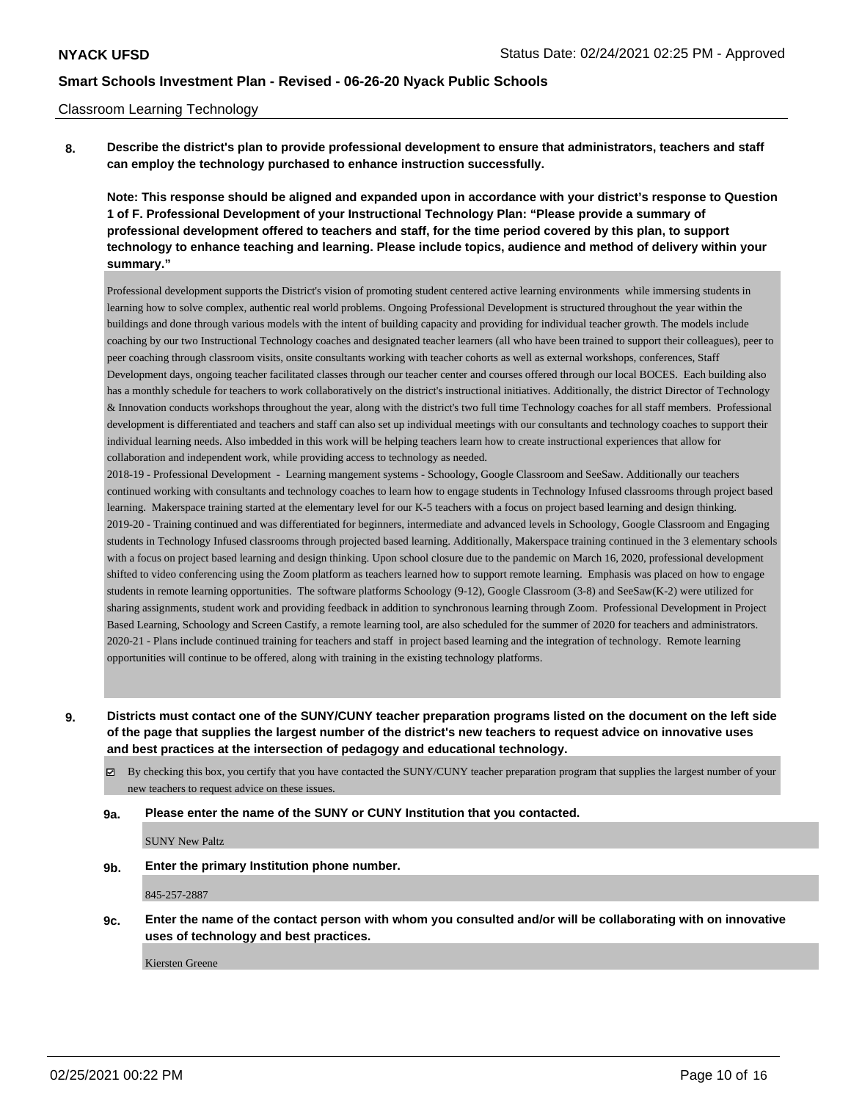### Classroom Learning Technology

**8. Describe the district's plan to provide professional development to ensure that administrators, teachers and staff can employ the technology purchased to enhance instruction successfully.**

**Note: This response should be aligned and expanded upon in accordance with your district's response to Question 1 of F. Professional Development of your Instructional Technology Plan: "Please provide a summary of professional development offered to teachers and staff, for the time period covered by this plan, to support technology to enhance teaching and learning. Please include topics, audience and method of delivery within your summary."**

Professional development supports the District's vision of promoting student centered active learning environments while immersing students in learning how to solve complex, authentic real world problems. Ongoing Professional Development is structured throughout the year within the buildings and done through various models with the intent of building capacity and providing for individual teacher growth. The models include coaching by our two Instructional Technology coaches and designated teacher learners (all who have been trained to support their colleagues), peer to peer coaching through classroom visits, onsite consultants working with teacher cohorts as well as external workshops, conferences, Staff Development days, ongoing teacher facilitated classes through our teacher center and courses offered through our local BOCES. Each building also has a monthly schedule for teachers to work collaboratively on the district's instructional initiatives. Additionally, the district Director of Technology & Innovation conducts workshops throughout the year, along with the district's two full time Technology coaches for all staff members. Professional development is differentiated and teachers and staff can also set up individual meetings with our consultants and technology coaches to support their individual learning needs. Also imbedded in this work will be helping teachers learn how to create instructional experiences that allow for collaboration and independent work, while providing access to technology as needed.

2018-19 - Professional Development - Learning mangement systems - Schoology, Google Classroom and SeeSaw. Additionally our teachers continued working with consultants and technology coaches to learn how to engage students in Technology Infused classrooms through project based learning. Makerspace training started at the elementary level for our K-5 teachers with a focus on project based learning and design thinking. 2019-20 - Training continued and was differentiated for beginners, intermediate and advanced levels in Schoology, Google Classroom and Engaging students in Technology Infused classrooms through projected based learning. Additionally, Makerspace training continued in the 3 elementary schools with a focus on project based learning and design thinking. Upon school closure due to the pandemic on March 16, 2020, professional development shifted to video conferencing using the Zoom platform as teachers learned how to support remote learning. Emphasis was placed on how to engage students in remote learning opportunities. The software platforms Schoology (9-12), Google Classroom (3-8) and SeeSaw(K-2) were utilized for sharing assignments, student work and providing feedback in addition to synchronous learning through Zoom. Professional Development in Project Based Learning, Schoology and Screen Castify, a remote learning tool, are also scheduled for the summer of 2020 for teachers and administrators. 2020-21 - Plans include continued training for teachers and staff in project based learning and the integration of technology. Remote learning opportunities will continue to be offered, along with training in the existing technology platforms.

**9. Districts must contact one of the SUNY/CUNY teacher preparation programs listed on the document on the left side of the page that supplies the largest number of the district's new teachers to request advice on innovative uses and best practices at the intersection of pedagogy and educational technology.**

By checking this box, you certify that you have contacted the SUNY/CUNY teacher preparation program that supplies the largest number of your new teachers to request advice on these issues.

#### **9a. Please enter the name of the SUNY or CUNY Institution that you contacted.**

SUNY New Paltz

**9b. Enter the primary Institution phone number.**

845-257-2887

**9c. Enter the name of the contact person with whom you consulted and/or will be collaborating with on innovative uses of technology and best practices.**

Kiersten Greene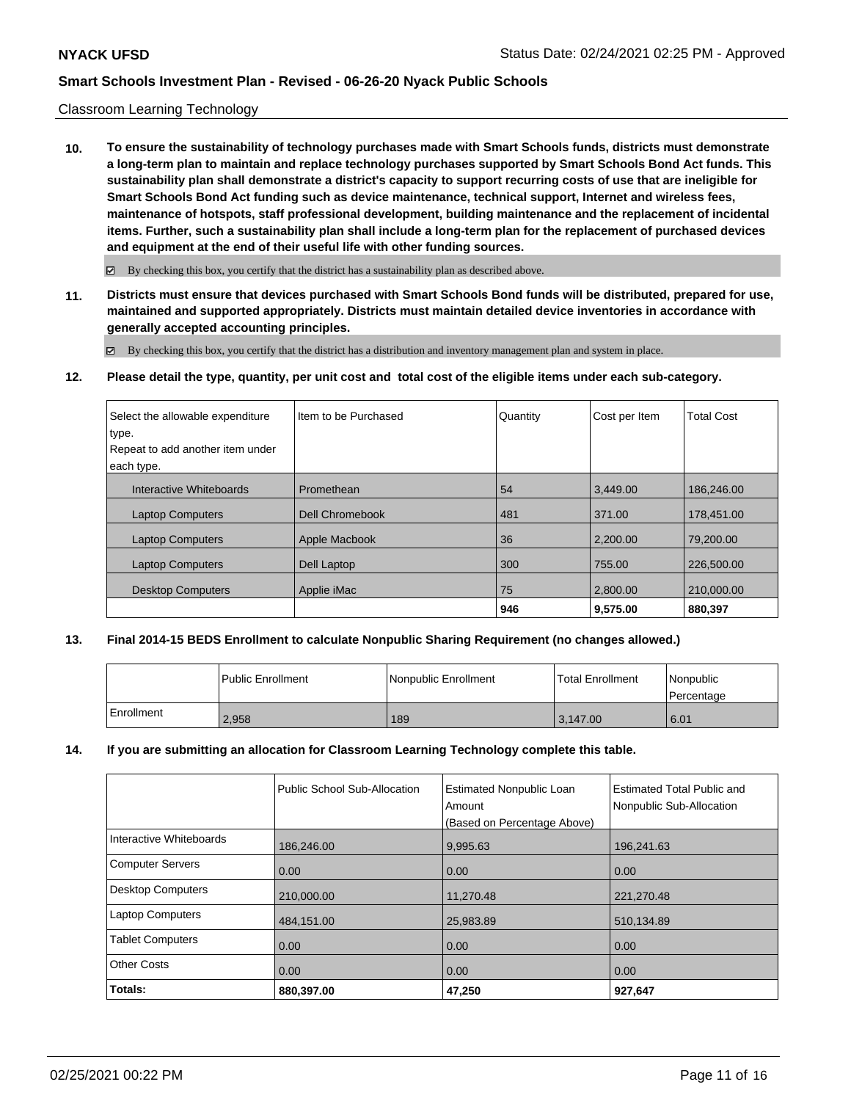### Classroom Learning Technology

**10. To ensure the sustainability of technology purchases made with Smart Schools funds, districts must demonstrate a long-term plan to maintain and replace technology purchases supported by Smart Schools Bond Act funds. This sustainability plan shall demonstrate a district's capacity to support recurring costs of use that are ineligible for Smart Schools Bond Act funding such as device maintenance, technical support, Internet and wireless fees, maintenance of hotspots, staff professional development, building maintenance and the replacement of incidental items. Further, such a sustainability plan shall include a long-term plan for the replacement of purchased devices and equipment at the end of their useful life with other funding sources.**

 $\boxtimes$  By checking this box, you certify that the district has a sustainability plan as described above.

**11. Districts must ensure that devices purchased with Smart Schools Bond funds will be distributed, prepared for use, maintained and supported appropriately. Districts must maintain detailed device inventories in accordance with generally accepted accounting principles.**

By checking this box, you certify that the district has a distribution and inventory management plan and system in place.

**12. Please detail the type, quantity, per unit cost and total cost of the eligible items under each sub-category.**

| Select the allowable expenditure | Item to be Purchased | Quantity | Cost per Item | <b>Total Cost</b> |
|----------------------------------|----------------------|----------|---------------|-------------------|
| type.                            |                      |          |               |                   |
| Repeat to add another item under |                      |          |               |                   |
| each type.                       |                      |          |               |                   |
| Interactive Whiteboards          | Promethean           | 54       | 3.449.00      | 186,246.00        |
| <b>Laptop Computers</b>          | Dell Chromebook      | 481      | 371.00        | 178,451.00        |
| <b>Laptop Computers</b>          | Apple Macbook        | 36       | 2.200.00      | 79.200.00         |
| <b>Laptop Computers</b>          | Dell Laptop          | 300      | 755.00        | 226,500.00        |
| <b>Desktop Computers</b>         | Applie iMac          | 75       | 2.800.00      | 210,000.00        |
|                                  |                      | 946      | 9.575.00      | 880.397           |

#### **13. Final 2014-15 BEDS Enrollment to calculate Nonpublic Sharing Requirement (no changes allowed.)**

|            | Public Enrollment | Nonpublic Enrollment | <b>Total Enrollment</b> | Nonpublic<br>Percentage |
|------------|-------------------|----------------------|-------------------------|-------------------------|
| Enrollment | 2,958             | 189                  | 3.147.00                | 6.01                    |

#### **14. If you are submitting an allocation for Classroom Learning Technology complete this table.**

|                          | Public School Sub-Allocation | <b>Estimated Nonpublic Loan</b><br>Amount<br>(Based on Percentage Above) | <b>Estimated Total Public and</b><br>Nonpublic Sub-Allocation |
|--------------------------|------------------------------|--------------------------------------------------------------------------|---------------------------------------------------------------|
| Interactive Whiteboards  | 186,246.00                   | 9,995.63                                                                 | 196,241.63                                                    |
| <b>Computer Servers</b>  | 0.00                         | 0.00                                                                     | 0.00                                                          |
| <b>Desktop Computers</b> | 210,000.00                   | 11,270.48                                                                | 221,270.48                                                    |
| <b>Laptop Computers</b>  | 484,151.00                   | 25,983.89                                                                | 510,134.89                                                    |
| <b>Tablet Computers</b>  | 0.00                         | 0.00                                                                     | 0.00                                                          |
| <b>Other Costs</b>       | 0.00                         | 0.00                                                                     | 0.00                                                          |
| Totals:                  | 880,397.00                   | 47,250                                                                   | 927,647                                                       |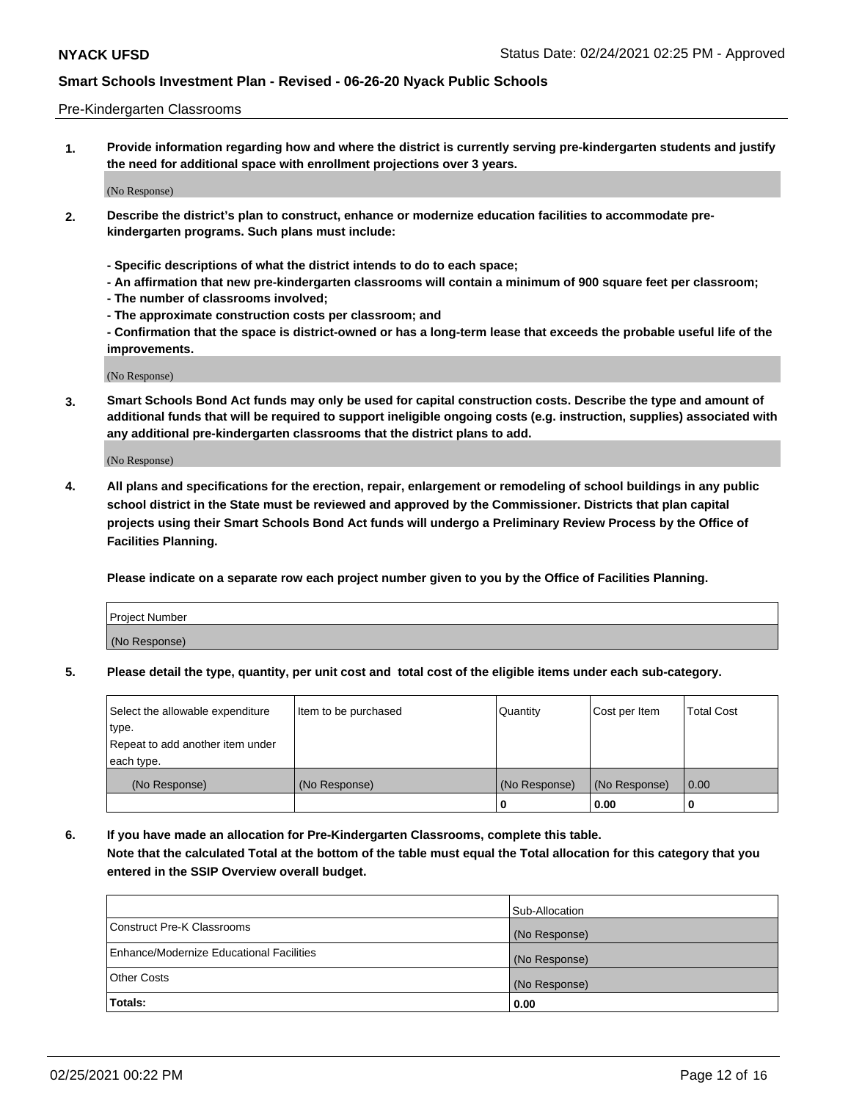### Pre-Kindergarten Classrooms

**1. Provide information regarding how and where the district is currently serving pre-kindergarten students and justify the need for additional space with enrollment projections over 3 years.**

(No Response)

- **2. Describe the district's plan to construct, enhance or modernize education facilities to accommodate prekindergarten programs. Such plans must include:**
	- **Specific descriptions of what the district intends to do to each space;**
	- **An affirmation that new pre-kindergarten classrooms will contain a minimum of 900 square feet per classroom;**
	- **The number of classrooms involved;**
	- **The approximate construction costs per classroom; and**
	- **Confirmation that the space is district-owned or has a long-term lease that exceeds the probable useful life of the improvements.**

(No Response)

**3. Smart Schools Bond Act funds may only be used for capital construction costs. Describe the type and amount of additional funds that will be required to support ineligible ongoing costs (e.g. instruction, supplies) associated with any additional pre-kindergarten classrooms that the district plans to add.**

(No Response)

**4. All plans and specifications for the erection, repair, enlargement or remodeling of school buildings in any public school district in the State must be reviewed and approved by the Commissioner. Districts that plan capital projects using their Smart Schools Bond Act funds will undergo a Preliminary Review Process by the Office of Facilities Planning.**

**Please indicate on a separate row each project number given to you by the Office of Facilities Planning.**

| Project Number |  |
|----------------|--|
| (No Response)  |  |
|                |  |

**5. Please detail the type, quantity, per unit cost and total cost of the eligible items under each sub-category.**

| Select the allowable expenditure | Item to be purchased | Quantity      | Cost per Item | <b>Total Cost</b> |
|----------------------------------|----------------------|---------------|---------------|-------------------|
| type.                            |                      |               |               |                   |
| Repeat to add another item under |                      |               |               |                   |
| each type.                       |                      |               |               |                   |
| (No Response)                    | (No Response)        | (No Response) | (No Response) | 0.00              |
|                                  |                      | υ             | 0.00          |                   |

**6. If you have made an allocation for Pre-Kindergarten Classrooms, complete this table. Note that the calculated Total at the bottom of the table must equal the Total allocation for this category that you entered in the SSIP Overview overall budget.**

|                                          | Sub-Allocation |
|------------------------------------------|----------------|
| Construct Pre-K Classrooms               | (No Response)  |
| Enhance/Modernize Educational Facilities | (No Response)  |
| <b>Other Costs</b>                       | (No Response)  |
| Totals:                                  | 0.00           |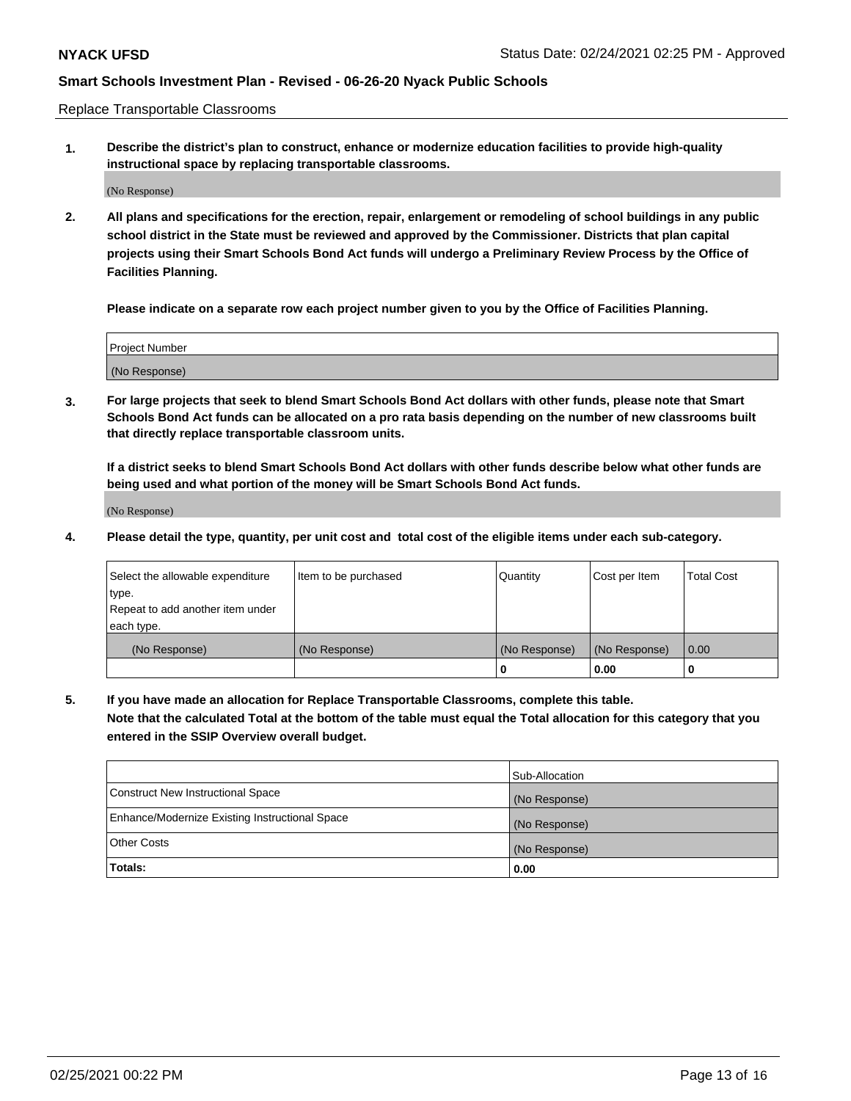Replace Transportable Classrooms

**1. Describe the district's plan to construct, enhance or modernize education facilities to provide high-quality instructional space by replacing transportable classrooms.**

(No Response)

**2. All plans and specifications for the erection, repair, enlargement or remodeling of school buildings in any public school district in the State must be reviewed and approved by the Commissioner. Districts that plan capital projects using their Smart Schools Bond Act funds will undergo a Preliminary Review Process by the Office of Facilities Planning.**

**Please indicate on a separate row each project number given to you by the Office of Facilities Planning.**

| Project Number |  |
|----------------|--|
|                |  |
|                |  |
|                |  |
| (No Response)  |  |
|                |  |
|                |  |

**3. For large projects that seek to blend Smart Schools Bond Act dollars with other funds, please note that Smart Schools Bond Act funds can be allocated on a pro rata basis depending on the number of new classrooms built that directly replace transportable classroom units.**

**If a district seeks to blend Smart Schools Bond Act dollars with other funds describe below what other funds are being used and what portion of the money will be Smart Schools Bond Act funds.**

(No Response)

**4. Please detail the type, quantity, per unit cost and total cost of the eligible items under each sub-category.**

| Select the allowable expenditure | Item to be purchased | Quantity      | Cost per Item | Total Cost |
|----------------------------------|----------------------|---------------|---------------|------------|
| ∣type.                           |                      |               |               |            |
| Repeat to add another item under |                      |               |               |            |
| each type.                       |                      |               |               |            |
| (No Response)                    | (No Response)        | (No Response) | (No Response) | 0.00       |
|                                  |                      | u             | 0.00          |            |

**5. If you have made an allocation for Replace Transportable Classrooms, complete this table. Note that the calculated Total at the bottom of the table must equal the Total allocation for this category that you entered in the SSIP Overview overall budget.**

|                                                | Sub-Allocation |
|------------------------------------------------|----------------|
| Construct New Instructional Space              | (No Response)  |
| Enhance/Modernize Existing Instructional Space | (No Response)  |
| Other Costs                                    | (No Response)  |
| Totals:                                        | 0.00           |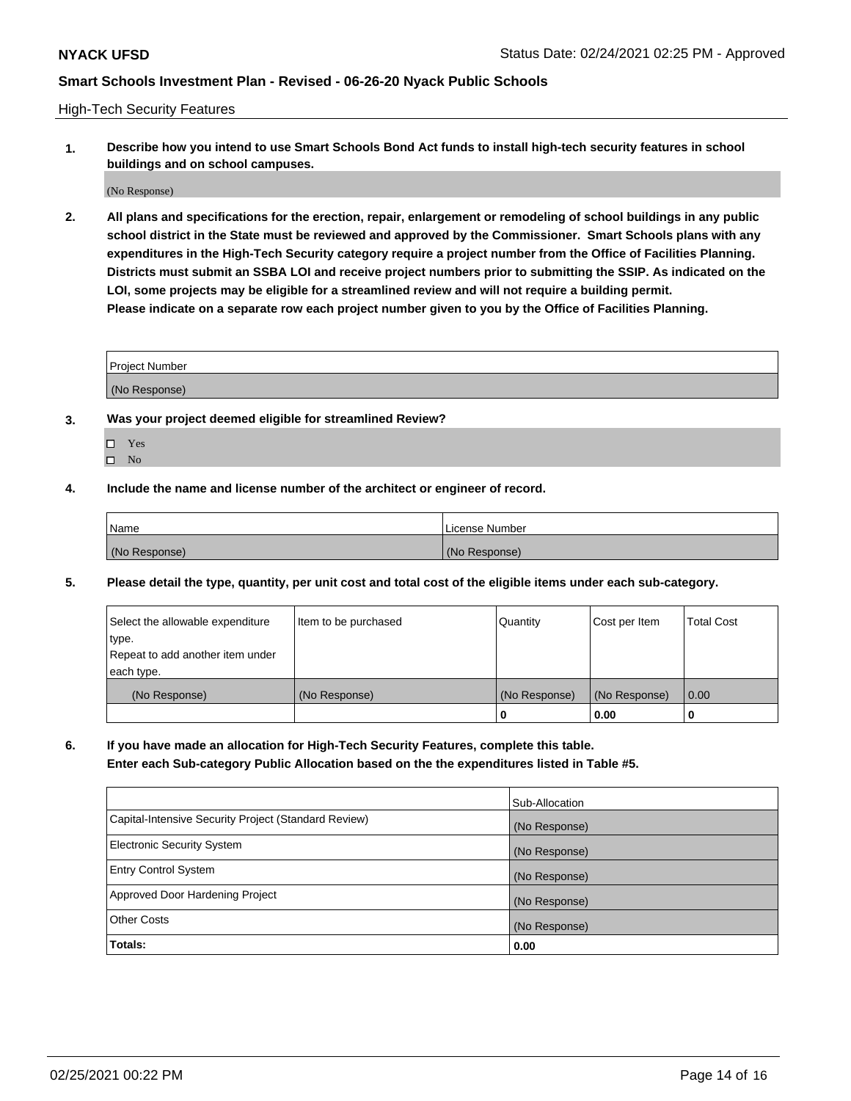High-Tech Security Features

**1. Describe how you intend to use Smart Schools Bond Act funds to install high-tech security features in school buildings and on school campuses.**

(No Response)

**2. All plans and specifications for the erection, repair, enlargement or remodeling of school buildings in any public school district in the State must be reviewed and approved by the Commissioner. Smart Schools plans with any expenditures in the High-Tech Security category require a project number from the Office of Facilities Planning. Districts must submit an SSBA LOI and receive project numbers prior to submitting the SSIP. As indicated on the LOI, some projects may be eligible for a streamlined review and will not require a building permit. Please indicate on a separate row each project number given to you by the Office of Facilities Planning.**

| <b>Project Number</b> |  |
|-----------------------|--|
| (No Response)         |  |

- **3. Was your project deemed eligible for streamlined Review?**
	- Yes
	- $\hfill \square$  No
- **4. Include the name and license number of the architect or engineer of record.**

| Name          | License Number |
|---------------|----------------|
| (No Response) | (No Response)  |

**5. Please detail the type, quantity, per unit cost and total cost of the eligible items under each sub-category.**

| Select the allowable expenditure | Item to be purchased | Quantity      | Cost per Item | <b>Total Cost</b> |
|----------------------------------|----------------------|---------------|---------------|-------------------|
| type.                            |                      |               |               |                   |
| Repeat to add another item under |                      |               |               |                   |
| each type.                       |                      |               |               |                   |
| (No Response)                    | (No Response)        | (No Response) | (No Response) | 0.00              |
|                                  |                      | 0             | 0.00          |                   |

**6. If you have made an allocation for High-Tech Security Features, complete this table.**

**Enter each Sub-category Public Allocation based on the the expenditures listed in Table #5.**

|                                                      | Sub-Allocation |
|------------------------------------------------------|----------------|
| Capital-Intensive Security Project (Standard Review) | (No Response)  |
| Electronic Security System                           | (No Response)  |
| <b>Entry Control System</b>                          | (No Response)  |
| Approved Door Hardening Project                      | (No Response)  |
| <b>Other Costs</b>                                   | (No Response)  |
| Totals:                                              | 0.00           |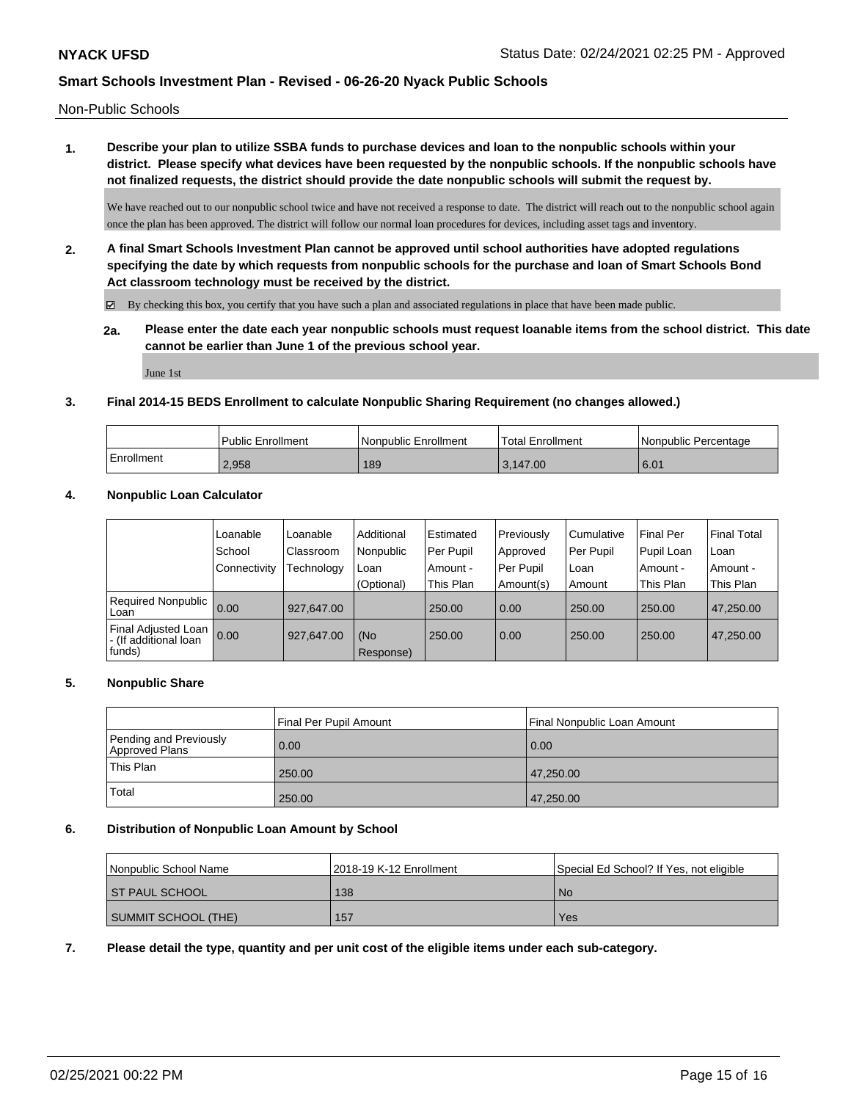Non-Public Schools

**1. Describe your plan to utilize SSBA funds to purchase devices and loan to the nonpublic schools within your district. Please specify what devices have been requested by the nonpublic schools. If the nonpublic schools have not finalized requests, the district should provide the date nonpublic schools will submit the request by.**

We have reached out to our nonpublic school twice and have not received a response to date. The district will reach out to the nonpublic school again once the plan has been approved. The district will follow our normal loan procedures for devices, including asset tags and inventory.

**2. A final Smart Schools Investment Plan cannot be approved until school authorities have adopted regulations specifying the date by which requests from nonpublic schools for the purchase and loan of Smart Schools Bond Act classroom technology must be received by the district.**

 $\boxtimes$  By checking this box, you certify that you have such a plan and associated regulations in place that have been made public.

**2a. Please enter the date each year nonpublic schools must request loanable items from the school district. This date cannot be earlier than June 1 of the previous school year.**

June 1st

## **3. Final 2014-15 BEDS Enrollment to calculate Nonpublic Sharing Requirement (no changes allowed.)**

|            | Public Enrollment | Nonpublic Enrollment | 'Total Enrollment | I Nonpublic Percentage |
|------------|-------------------|----------------------|-------------------|------------------------|
| Enrollment | 2.958             | 189                  | 3.147.00          | 6.01                   |

## **4. Nonpublic Loan Calculator**

|                                                          | Loanable     | Loanable   | Additional       | Estimated | Previously | l Cumulative | <b>Final Per</b> | Final Total |
|----------------------------------------------------------|--------------|------------|------------------|-----------|------------|--------------|------------------|-------------|
|                                                          | School       | Classroom  | Nonpublic        | Per Pupil | Approved   | Per Pupil    | Pupil Loan       | ⊺Loan       |
|                                                          | Connectivity | Technology | Loan             | Amount -  | Per Pupil  | Loan         | Amount -         | Amount -    |
|                                                          |              |            | (Optional)       | This Plan | Amount(s)  | Amount       | This Plan        | This Plan   |
| <b>Required Nonpublic</b><br>Loan                        | 0.00         | 927.647.00 |                  | 250.00    | 0.00       | 250.00       | 250.00           | 47.250.00   |
| Final Adjusted Loan<br>I - (If additional loan<br>funds) | 0.00         | 927,647.00 | (No<br>Response) | 250.00    | 0.00       | 250.00       | 250.00           | 47,250.00   |

#### **5. Nonpublic Share**

|                                          | Final Per Pupil Amount | Final Nonpublic Loan Amount |
|------------------------------------------|------------------------|-----------------------------|
| Pending and Previously<br>Approved Plans | 0.00                   | 0.00                        |
| <sup>1</sup> This Plan                   | 250.00                 | 47,250.00                   |
| Total                                    | 250.00                 | 47,250.00                   |

#### **6. Distribution of Nonpublic Loan Amount by School**

| Nonpublic School Name | 2018-19 K-12 Enrollment | Special Ed School? If Yes, not eligible |
|-----------------------|-------------------------|-----------------------------------------|
| I ST PAUL SCHOOL      | 138                     | No.                                     |
| SUMMIT SCHOOL (THE)   | 157                     | Yes                                     |

**7. Please detail the type, quantity and per unit cost of the eligible items under each sub-category.**